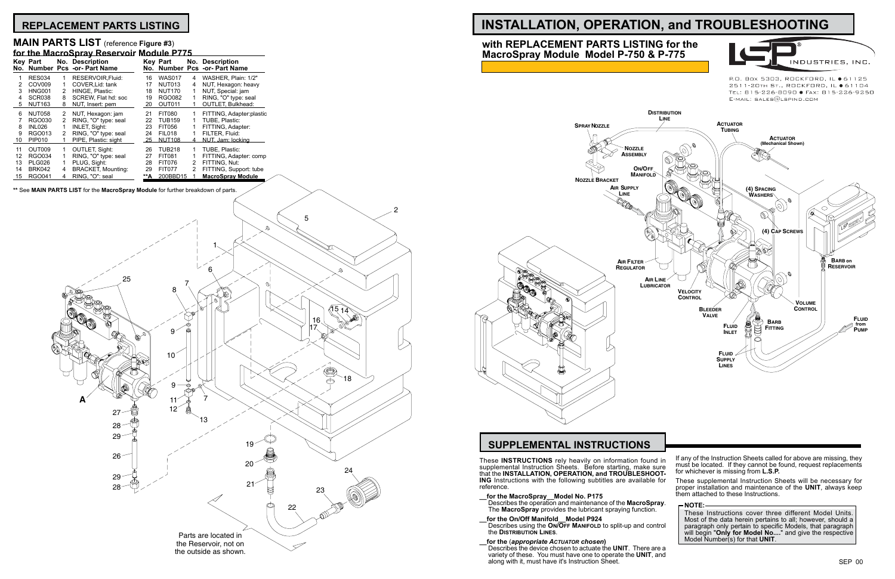# **REPLACEMENT PARTS LISTING INSTALLATION, OPERATION, and TROUBLESHOOTING**

INDUSTRIES, INC.

P.O. Box 5303, ROCKFORD, IL ● 61125 2511-20TH ST., ROCKFORD, IL ● 61104 TEL: 815-226-8090 · FAX: 815-226-9250  $E$ -MAIL: SALES $@$ LSPIND.COM

### **MAIN PARTS LIST** (reference **Figure #3**)

| for the MacroSpray Reservoir Module P775 |                 |   |                                                  |     |               |               |                                              |
|------------------------------------------|-----------------|---|--------------------------------------------------|-----|---------------|---------------|----------------------------------------------|
|                                          | <b>Kev Part</b> |   | No. Description<br>No. Number Pcs -or- Part Name | No. | Key Part      |               | No. Description<br>Number Pcs -or- Part Name |
|                                          | <b>RES034</b>   | 1 | RESERVOIR Fluid:                                 | 16  | <b>WAS017</b> | 4             | WASHER, Plain: 1/2"                          |
| 2                                        | COV009          | 1 | COVER.Lid: tank                                  | 17  | <b>NUT013</b> | 4             | NUT, Hexagon: heavy                          |
| 3                                        | <b>HNG001</b>   | 2 | HINGE, Plastic:                                  | 18  | <b>NUT170</b> | 1             | NUT, Special: jam                            |
| 4                                        | <b>SCR038</b>   | 8 | SCREW. Flat hd: soc                              | 19  | <b>RGO082</b> | 1             | RING, "O" type: seal                         |
| 5                                        | <b>NUT163</b>   | 8 | NUT, Insert: pem                                 | 20  | OUT011        |               | <b>OUTLET. Bulkhead:</b>                     |
| 6                                        | <b>NUT058</b>   | 2 | NUT, Hexagon: jam                                | 21  | <b>FIT080</b> |               | FITTING, Adapter:plastic                     |
|                                          | RGO030          | 2 | RING, "O" type: seal                             | 22  | <b>TUB159</b> |               | TUBE. Plastic:                               |
| 8                                        | <b>INL026</b>   | 1 | <b>INLET, Sight:</b>                             | 23  | FIT056        |               | FITTING, Adapter:                            |
| 9                                        | RGO013          | 2 | RING, "O" type: seal                             | 24  | <b>FIL018</b> |               | FILTER. Fluid:                               |
| 10                                       | <b>PIP010</b>   |   | PIPE, Plastic: sight                             | 25  | <b>NUT108</b> | 4             | NUT. Jam: locking                            |
| 11                                       | OUT009          | 1 | <b>OUTLET, Sight:</b>                            | 26  | <b>TUB218</b> |               | TUBE. Plastic:                               |
| 12                                       | <b>RGO034</b>   | 1 | RING, "O" type: seal                             | 27  | <b>FIT081</b> |               | FITTING, Adapter: comp                       |
| 13                                       | <b>PLG026</b>   | 1 | PLUG, Sight:                                     | 28  | <b>FIT076</b> | 2             | FITTING. Nut:                                |
| 14                                       | <b>BRK042</b>   | 4 | <b>BRACKET, Mounting:</b>                        | 29  | <b>FIT077</b> | $\mathcal{P}$ | FITTING, Support: tube                       |
| 15                                       | <b>RGO041</b>   | 4 | RING, "O": seal                                  | **A | 200BBD15      |               | <b>MacroSpray Module</b>                     |

**\*\*** See **MAIN PARTS LIST** for the **MacroSpray Module** for further breakdown of parts.

These **INSTRUCTIONS** rely heavily on information found supplemental Instruction Sheets. Before starting, make sure that the **INSTALLATION**, OPERATION, and TROUBLESHOOT **ING** Instructions with the following subtitles are available for reference.



- **\_\_for the MacroSpray\_\_Model No. P175**
- The **MacroSpray** provides the lubricant spraying function.
- **\_\_for the On/Off Manifold\_\_Model P924**  Describes using the **On/Off Manifold** to split-up and control the **Distribution Lines**.
- **\_\_for the** (*appropriate Actuator chosen***)** Describes the device chosen to actuate the **UNIT**. There are a variety of these. You must have one to operate the **UNIT**, and along with it, must have it's Instruction Sheet.

## **SUPPLEMENTAL INSTRUCTIONS**

# **with REPLACEMENT PARTS LISTING for the MacroSpray Module Model P-750 & P-775**

| in<br>re<br>T- | If any of the Instruction Sheets called for above are missing, they<br>must be located. If they cannot be found, request replacements<br>for whichever is missing from L.S.P.                                                                                                |
|----------------|------------------------------------------------------------------------------------------------------------------------------------------------------------------------------------------------------------------------------------------------------------------------------|
| or:            | These supplemental Instruction Sheets will be necessary for<br>proper installation and maintenance of the UNIT, always keep<br>them attached to these Instructions.                                                                                                          |
| ١y.            | <b>NOTE:</b>                                                                                                                                                                                                                                                                 |
| rol            | These Instructions cover three different Model Units.<br>Most of the data herein pertains to all; however, should a<br>paragraph only pertain to specific Models, that paragraph<br>will begin "Only for Model No" and give the respective<br>Model Number(s) for that UNIT. |
| эa             |                                                                                                                                                                                                                                                                              |